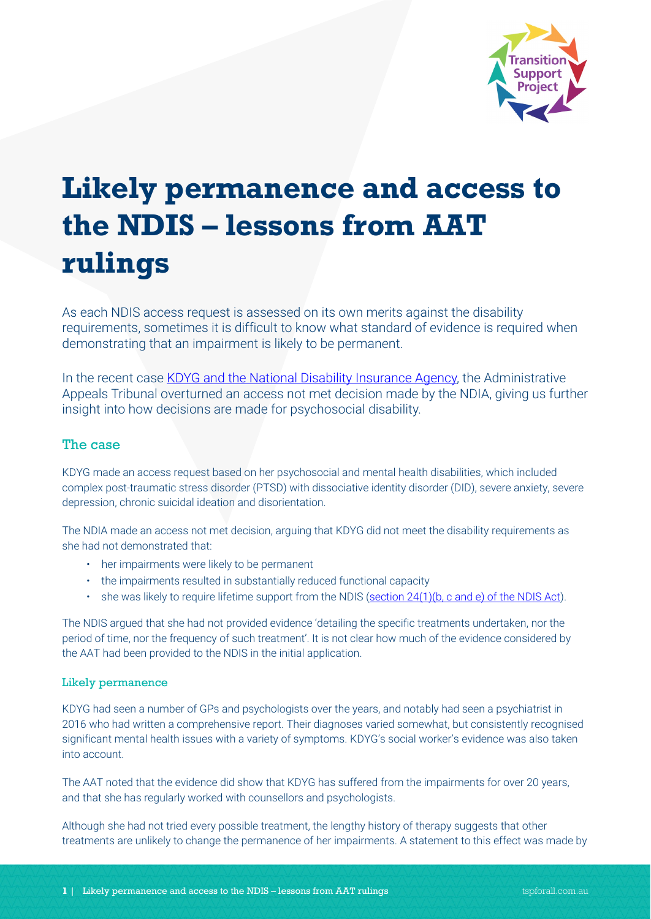

# **Likely permanence and access to the NDIS – lessons from AAT rulings**

As each NDIS access request is assessed on its own merits against the disability requirements, sometimes it is difficult to know what standard of evidence is required when demonstrating that an impairment is likely to be permanent.

In the recent case [KDYG and the National Disability Insurance Agency,](http://www.austlii.edu.au/cgi-bin/viewdoc/au/cases/cth/AATA/2019/3411.html?context=1;query=KDYG%20and%20National%20Disability%20Insurance%20Agency%20;mask_path=au/cases/cth/AATA) the Administrative Appeals Tribunal overturned an access not met decision made by the NDIA, giving us further insight into how decisions are made for psychosocial disability.

# The case

KDYG made an access request based on her psychosocial and mental health disabilities, which included complex post-traumatic stress disorder (PTSD) with dissociative identity disorder (DID), severe anxiety, severe depression, chronic suicidal ideation and disorientation.

The NDIA made an access not met decision, arguing that KDYG did not meet the disability requirements as she had not demonstrated that:

- her impairments were likely to be permanent
- the impairments resulted in substantially reduced functional capacity
- she was likely to require lifetime support from the NDIS [\(section 24\(1\)\(b, c and e\) of the NDIS Act\)](https://www.ndis.gov.au/about-us/governance/legislation).

The NDIS argued that she had not provided evidence 'detailing the specific treatments undertaken, nor the period of time, nor the frequency of such treatment'. It is not clear how much of the evidence considered by the AAT had been provided to the NDIS in the initial application.

## Likely permanence

KDYG had seen a number of GPs and psychologists over the years, and notably had seen a psychiatrist in 2016 who had written a comprehensive report. Their diagnoses varied somewhat, but consistently recognised significant mental health issues with a variety of symptoms. KDYG's social worker's evidence was also taken into account.

The AAT noted that the evidence did show that KDYG has suffered from the impairments for over 20 years, and that she has regularly worked with counsellors and psychologists.

Although she had not tried every possible treatment, the lengthy history of therapy suggests that other treatments are unlikely to change the permanence of her impairments. A statement to this effect was made by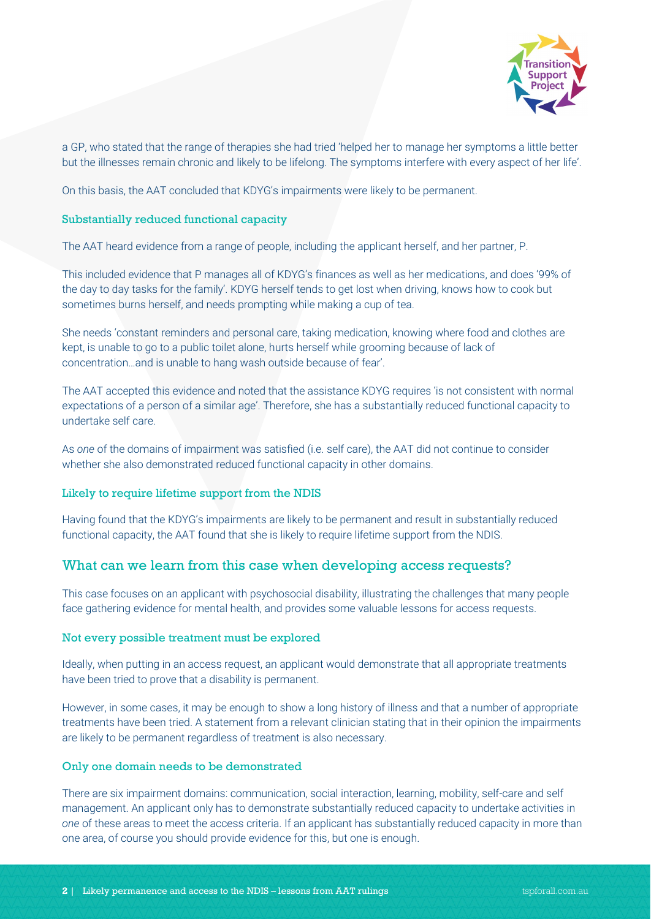

a GP, who stated that the range of therapies she had tried 'helped her to manage her symptoms a little better but the illnesses remain chronic and likely to be lifelong. The symptoms interfere with every aspect of her life'.

On this basis, the AAT concluded that KDYG's impairments were likely to be permanent.

#### Substantially reduced functional capacity

The AAT heard evidence from a range of people, including the applicant herself, and her partner, P.

This included evidence that P manages all of KDYG's finances as well as her medications, and does '99% of the day to day tasks for the family'. KDYG herself tends to get lost when driving, knows how to cook but sometimes burns herself, and needs prompting while making a cup of tea.

She needs 'constant reminders and personal care, taking medication, knowing where food and clothes are kept, is unable to go to a public toilet alone, hurts herself while grooming because of lack of concentration…and is unable to hang wash outside because of fear'.

The AAT accepted this evidence and noted that the assistance KDYG requires 'is not consistent with normal expectations of a person of a similar age'. Therefore, she has a substantially reduced functional capacity to undertake self care.

As *one* of the domains of impairment was satisfied (i.e. self care), the AAT did not continue to consider whether she also demonstrated reduced functional capacity in other domains.

## Likely to require lifetime support from the NDIS

Having found that the KDYG's impairments are likely to be permanent and result in substantially reduced functional capacity, the AAT found that she is likely to require lifetime support from the NDIS.

# What can we learn from this case when developing access requests?

This case focuses on an applicant with psychosocial disability, illustrating the challenges that many people face gathering evidence for mental health, and provides some valuable lessons for access requests.

#### Not every possible treatment must be explored

Ideally, when putting in an access request, an applicant would demonstrate that all appropriate treatments have been tried to prove that a disability is permanent.

However, in some cases, it may be enough to show a long history of illness and that a number of appropriate treatments have been tried. A statement from a relevant clinician stating that in their opinion the impairments are likely to be permanent regardless of treatment is also necessary.

#### Only one domain needs to be demonstrated

There are six impairment domains: communication, social interaction, learning, mobility, self-care and self management. An applicant only has to demonstrate substantially reduced capacity to undertake activities in *one* of these areas to meet the access criteria. If an applicant has substantially reduced capacity in more than one area, of course you should provide evidence for this, but one is enough.